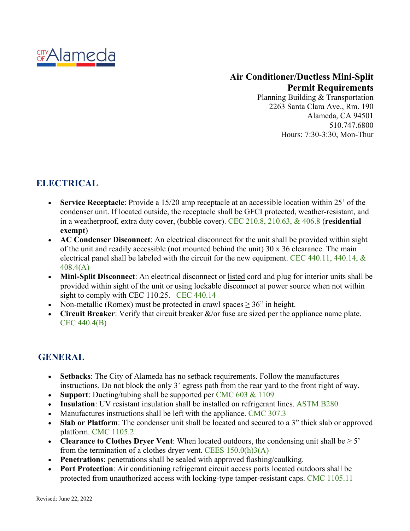

### **Air Conditioner/Ductless Mini-Split Permit Requirements**

Planning Building & Transportation 2263 Santa Clara Ave., Rm. 190 Alameda, CA 94501 510.747.6800 Hours: 7:30-3:30, Mon-Thur

# **ELECTRICAL**

- **Service Receptacle**: Provide a 15/20 amp receptacle at an accessible location within 25' of the condenser unit. If located outside, the receptacle shall be GFCI protected, weather-resistant, and in a weatherproof, extra duty cover, (bubble cover). CEC 210.8, 210.63, & 406.8 (**residential exempt**)
- **AC Condenser Disconnect**: An electrical disconnect for the unit shall be provided within sight of the unit and readily accessible (not mounted behind the unit)  $30 \times 36$  clearance. The main electrical panel shall be labeled with the circuit for the new equipment. CEC 440.11, 440.14, & 408.4(A)
- **Mini-Split Disconnect**: An electrical disconnect or listed cord and plug for interior units shall be provided within sight of the unit or using lockable disconnect at power source when not within sight to comply with CEC 110.25. CEC 440.14
- Non-metallic (Romex) must be protected in crawl spaces  $\geq 36$ " in height.
- **Circuit Breaker**: Verify that circuit breaker &/or fuse are sized per the appliance name plate. CEC 440.4(B)

### **GENERAL**

- **Setbacks**: The City of Alameda has no setback requirements. Follow the manufactures instructions. Do not block the only 3' egress path from the rear yard to the front right of way.
- **Support:** Ducting/tubing shall be supported per [CMC](https://up.codes/viewer/california/ca-mechanical-code-2019/chapter/6/duct-systems#603.1) 603 & 1109
- **Insulation**: UV resistant insulation shall be installed on refrigerant lines. ASTM B280
- Manufactures instructions shall be left with the appliance. CMC 307.3
- **Slab or Platform**: The condenser unit shall be located and secured to a 3" thick slab or approved platform. CMC 1105.2
- **Clearance to Clothes Dryer Vent**: When located outdoors, the condensing unit shall be ≥ 5' from the termination of a clothes dryer vent. CEES 150.0(h)3(A)
- **Penetrations**: penetrations shall be sealed with approved flashing/caulking.
- **Port Protection**: Air conditioning refrigerant circuit access ports located outdoors shall be protected from unauthorized access with locking-type tamper-resistant caps. CMC 1105.11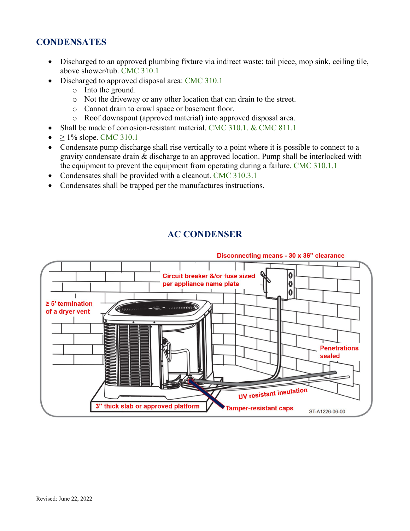# **CONDENSATES**

- Discharged to an approved plumbing fixture via indirect waste: tail piece, mop sink, ceiling tile, above shower/tub. CMC 310.1
- Discharged to approved disposal area: CMC 310.1
	- o Into the ground.
	- o Not the driveway or any other location that can drain to the street.
	- o Cannot drain to crawl space or basement floor.
	- o Roof downspout (approved material) into approved disposal area.
- Shall be made of corrosion-resistant material. CMC 310.1. & CMC 811.1
- $> 1\%$  slope. CMC 310.1
- Condensate pump discharge shall rise vertically to a point where it is possible to connect to a gravity condensate drain & discharge to an approved location. Pump shall be interlocked with the equipment to prevent the equipment from operating during a failure. CMC 310.1.1
- Condensates shall be provided with a cleanout. CMC 310.3.1
- Condensates shall be trapped per the manufactures instructions.

#### **AC CONDENSER**